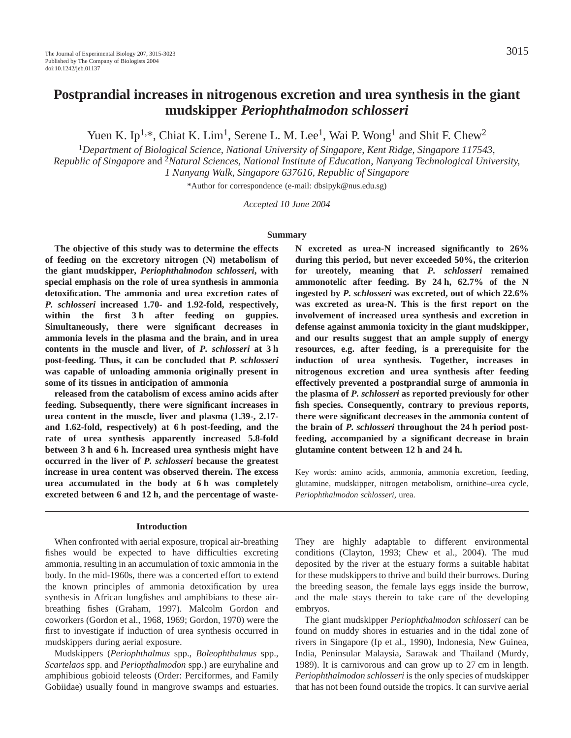# **Postprandial increases in nitrogenous excretion and urea synthesis in the giant mudskipper** *Periophthalmodon schlosseri*

Yuen K. Ip<sup>1,\*</sup>, Chiat K. Lim<sup>1</sup>, Serene L. M. Lee<sup>1</sup>, Wai P. Wong<sup>1</sup> and Shit F. Chew<sup>2</sup>

<sup>1</sup>*Department of Biological Science, National University of Singapore, Kent Ridge, Singapore 117543, Republic of Singapore* and 2*Natural Sciences, National Institute of Education, Nanyang Technological University, 1 Nanyang Walk, Singapore 637616, Republic of Singapore*

\*Author for correspondence (e-mail: dbsipyk@nus.edu.sg)

*Accepted 10 June 2004*

#### **Summary**

**The objective of this study was to determine the effects of feeding on the excretory nitrogen (N) metabolism of the giant mudskipper,** *Periophthalmodon schlosseri***, with special emphasis on the role of urea synthesis in ammonia detoxification. The ammonia and urea excretion rates of** *P. schlosseri* **increased 1.70- and 1.92-fold, respectively,** within the first 3<sup>h</sup> after feeding on guppies. **Simultaneously, there were significant decreases in ammonia levels in the plasma and the brain, and in urea contents in the muscle and liver, of** *P. schlosseri* **at 3·h post-feeding. Thus, it can be concluded that** *P. schlosseri* **was capable of unloading ammonia originally present in some of its tissues in anticipation of ammonia** 

**released from the catabolism of excess amino acids after feeding. Subsequently, there were significant increases in urea content in the muscle, liver and plasma (1.39-, 2.17** and 1.62-fold, respectively) at 6 h post-feeding, and the **rate of urea synthesis apparently increased 5.8-fold** between 3 h and 6 h. Increased urea synthesis might have **occurred in the liver of** *P. schlosseri* **because the greatest increase in urea content was observed therein. The excess** urea accumulated in the body at 6 h was completely excreted between 6 and 12 h, and the percentage of waste**during this period, but never exceeded 50%, the criterion for ureotely, meaning that** *P. schlosseri* **remained** ammonotelic after feeding. By 24 h, 62.7% of the N **ingested by** *P. schlosseri* **was excreted, out of which 22.6% was excreted as urea-N. This is the first report on the involvement of increased urea synthesis and excretion in defense against ammonia toxicity in the giant mudskipper, and our results suggest that an ample supply of energy resources, e.g. after feeding, is a prerequisite for the induction of urea synthesis. Together, increases in nitrogenous excretion and urea synthesis after feeding effectively prevented a postprandial surge of ammonia in the plasma of** *P. schlosseri* **as reported previously for other fish species. Consequently, contrary to previous reports, there were significant decreases in the ammonia content of the brain of P.** schlosseri **throughout** the 24 h period post**feeding, accompanied by a significant decrease in brain** glutamine content between 12 h and 24 h.

**N excreted as urea-N increased significantly to 26%**

Key words: amino acids, ammonia, ammonia excretion, feeding, glutamine, mudskipper, nitrogen metabolism, ornithine–urea cycle, *Periophthalmodon schlosseri*, urea.

### **Introduction**

When confronted with aerial exposure, tropical air-breathing fishes would be expected to have difficulties excreting ammonia, resulting in an accumulation of toxic ammonia in the body. In the mid-1960s, there was a concerted effort to extend the known principles of ammonia detoxification by urea synthesis in African lungfishes and amphibians to these airbreathing fishes (Graham, 1997). Malcolm Gordon and coworkers (Gordon et al., 1968, 1969; Gordon, 1970) were the first to investigate if induction of urea synthesis occurred in mudskippers during aerial exposure.

Mudskippers (*Periophthalmus* spp., *Boleophthalmus* spp., *Scartelaos* spp. and *Periopthalmodon* spp.) are euryhaline and amphibious gobioid teleosts (Order: Perciformes, and Family Gobiidae) usually found in mangrove swamps and estuaries. They are highly adaptable to different environmental conditions (Clayton, 1993; Chew et al., 2004). The mud deposited by the river at the estuary forms a suitable habitat for these mudskippers to thrive and build their burrows. During the breeding season, the female lays eggs inside the burrow, and the male stays therein to take care of the developing embryos.

The giant mudskipper *Periophthalmodon schlosseri* can be found on muddy shores in estuaries and in the tidal zone of rivers in Singapore (Ip et al., 1990), Indonesia, New Guinea, India, Peninsular Malaysia, Sarawak and Thailand (Murdy, 1989). It is carnivorous and can grow up to 27 cm in length. *Periophthalmodon schlosseri* is the only species of mudskipper that has not been found outside the tropics. It can survive aerial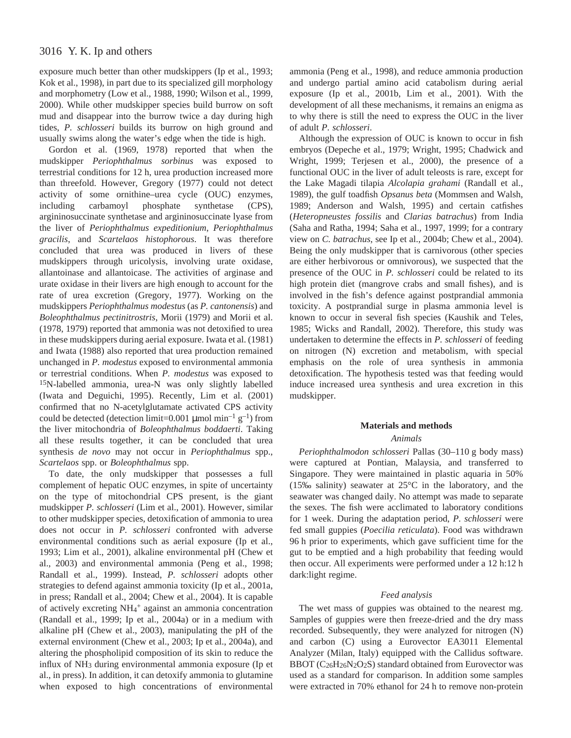# 3016 Y. K. Ip and others

exposure much better than other mudskippers (Ip et al., 1993; Kok et al., 1998), in part due to its specialized gill morphology and morphometry (Low et al., 1988, 1990; Wilson et al., 1999, 2000). While other mudskipper species build burrow on soft mud and disappear into the burrow twice a day during high tides, *P. schlosseri* builds its burrow on high ground and usually swims along the water's edge when the tide is high.

Gordon et al. (1969, 1978) reported that when the mudskipper *Periophthalmus sorbinus* was exposed to terrestrial conditions for 12 h, urea production increased more than threefold. However, Gregory (1977) could not detect activity of some ornithine–urea cycle (OUC) enzymes, including carbamoyl phosphate synthetase (CPS), argininosuccinate synthetase and argininosuccinate lyase from the liver of *Periophthalmus expeditionium*, *Periophthalmus gracilis*, and *Scartelaos histophorous*. It was therefore concluded that urea was produced in livers of these mudskippers through uricolysis, involving urate oxidase, allantoinase and allantoicase. The activities of arginase and urate oxidase in their livers are high enough to account for the rate of urea excretion (Gregory, 1977). Working on the mudskippers *Periophthalmus modestus* (as *P. cantonensis*) and *Boleophthalmus pectinitrostris*, Morii (1979) and Morii et al. (1978, 1979) reported that ammonia was not detoxified to urea in these mudskippers during aerial exposure. Iwata et al. (1981) and Iwata (1988) also reported that urea production remained unchanged in *P. modestus* exposed to environmental ammonia or terrestrial conditions. When *P. modestus* was exposed to 15N-labelled ammonia, urea-N was only slightly labelled (Iwata and Deguichi, 1995). Recently, Lim et al. (2001) confirmed that no N-acetylglutamate activated CPS activity could be detected (detection limit=0.001  $\mu$ mol min<sup>-1</sup> g<sup>-1</sup>) from the liver mitochondria of *Boleophthalmus boddaerti*. Taking all these results together, it can be concluded that urea synthesis *de novo* may not occur in *Periophthalmus* spp., *Scartelaos* spp. or *Boleophthalmus* spp.

To date, the only mudskipper that possesses a full complement of hepatic OUC enzymes, in spite of uncertainty on the type of mitochondrial CPS present, is the giant mudskipper *P. schlosseri* (Lim et al., 2001). However, similar to other mudskipper species, detoxification of ammonia to urea does not occur in *P. schlosseri* confronted with adverse environmental conditions such as aerial exposure (Ip et al., 1993; Lim et al., 2001), alkaline environmental pH (Chew et al., 2003) and environmental ammonia (Peng et al., 1998; Randall et al., 1999). Instead, *P. schlosseri* adopts other strategies to defend against ammonia toxicity (Ip et al., 2001a, in press; Randall et al., 2004; Chew et al., 2004). It is capable of actively excreting NH4 <sup>+</sup> against an ammonia concentration (Randall et al., 1999; Ip et al., 2004a) or in a medium with alkaline pH (Chew et al., 2003), manipulating the pH of the external environment (Chew et al., 2003; Ip et al., 2004a), and altering the phospholipid composition of its skin to reduce the influx of NH3 during environmental ammonia exposure (Ip et al., in press). In addition, it can detoxify ammonia to glutamine when exposed to high concentrations of environmental

ammonia (Peng et al., 1998), and reduce ammonia production and undergo partial amino acid catabolism during aerial exposure (Ip et al., 2001b, Lim et al., 2001). With the development of all these mechanisms, it remains an enigma as to why there is still the need to express the OUC in the liver of adult *P. schlosseri*.

Although the expression of OUC is known to occur in fish embryos (Depeche et al., 1979; Wright, 1995; Chadwick and Wright, 1999; Terjesen et al., 2000), the presence of a functional OUC in the liver of adult teleosts is rare, except for the Lake Magadi tilapia *Alcolapia grahami* (Randall et al., 1989), the gulf toadfish *Opsanus beta* (Mommsen and Walsh, 1989; Anderson and Walsh, 1995) and certain catfishes (*Heteropneustes fossilis* and *Clarias batrachus*) from India (Saha and Ratha, 1994; Saha et al., 1997, 1999; for a contrary view on *C. batrachus*, see Ip et al., 2004b; Chew et al., 2004). Being the only mudskipper that is carnivorous (other species are either herbivorous or omnivorous), we suspected that the presence of the OUC in *P. schlosseri* could be related to its high protein diet (mangrove crabs and small fishes), and is involved in the fish's defence against postprandial ammonia toxicity. A postprandial surge in plasma ammonia level is known to occur in several fish species (Kaushik and Teles, 1985; Wicks and Randall, 2002). Therefore, this study was undertaken to determine the effects in *P. schlosseri* of feeding on nitrogen (N) excretion and metabolism, with special emphasis on the role of urea synthesis in ammonia detoxification. The hypothesis tested was that feeding would induce increased urea synthesis and urea excretion in this mudskipper.

#### **Materials and methods**

#### *Animals*

*Periophthalmodon schlosseri Pallas (30–110 g body mass)* were captured at Pontian, Malaysia, and transferred to Singapore. They were maintained in plastic aquaria in 50% (15‰ salinity) seawater at 25°C in the laboratory, and the seawater was changed daily. No attempt was made to separate the sexes. The fish were acclimated to laboratory conditions for 1 week. During the adaptation period, *P. schlosseri* were fed small guppies (*Poecilia reticulata*). Food was withdrawn 96 h prior to experiments, which gave sufficient time for the gut to be emptied and a high probability that feeding would then occur. All experiments were performed under a 12 h:12 h dark:light regime.

#### *Feed analysis*

The wet mass of guppies was obtained to the nearest mg. Samples of guppies were then freeze-dried and the dry mass recorded. Subsequently, they were analyzed for nitrogen (N) and carbon (C) using a Eurovector EA3011 Elemental Analyzer (Milan, Italy) equipped with the Callidus software. BBOT (C<sub>26</sub>H<sub>26</sub>N<sub>2</sub>O<sub>2</sub>S) standard obtained from Eurovector was used as a standard for comparison. In addition some samples were extracted in 70% ethanol for 24 h to remove non-protein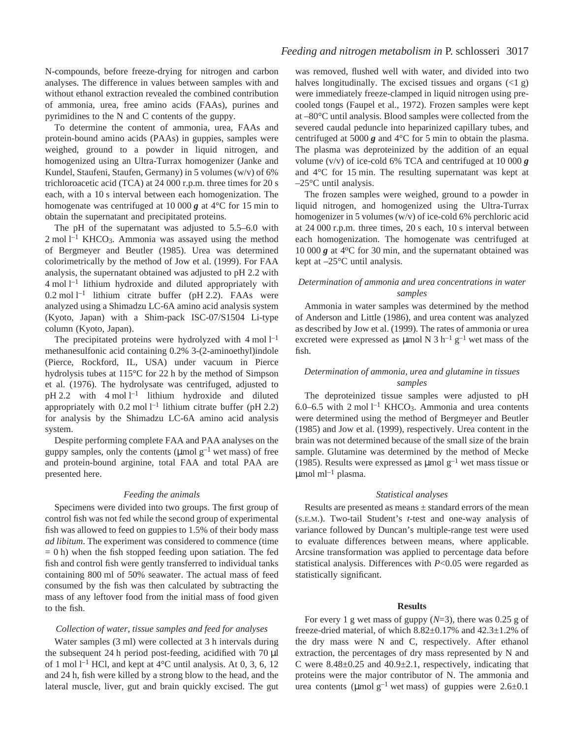N-compounds, before freeze-drying for nitrogen and carbon analyses. The difference in values between samples with and without ethanol extraction revealed the combined contribution of ammonia, urea, free amino acids (FAAs), purines and pyrimidines to the N and C contents of the guppy.

To determine the content of ammonia, urea, FAAs and protein-bound amino acids (PAAs) in guppies, samples were weighed, ground to a powder in liquid nitrogen, and homogenized using an Ultra-Turrax homogenizer (Janke and Kundel, Staufeni, Staufen, Germany) in 5 volumes (w/v) of 6% trichloroacetic acid (TCA) at  $24~000$  r.p.m. three times for  $20~\text{s}$ each, with a 10 s interval between each homogenization. The homogenate was centrifuged at 10 000  $\boldsymbol{g}$  at 4<sup>o</sup>C for 15 min to obtain the supernatant and precipitated proteins.

The pH of the supernatant was adjusted to 5.5–6.0 with  $2$  mol  $l<sup>-1</sup>$  KHCO<sub>3</sub>. Ammonia was assayed using the method of Bergmeyer and Beutler (1985). Urea was determined colorimetrically by the method of Jow et al. (1999). For FAA analysis, the supernatant obtained was adjusted to pH 2.2 with  $4 \text{ mol } l^{-1}$  lithium hydroxide and diluted appropriately with 0.2 mol  $l^{-1}$  lithium citrate buffer (pH 2.2). FAAs were analyzed using a Shimadzu LC-6A amino acid analysis system (Kyoto, Japan) with a Shim-pack ISC-07/S1504 Li-type column (Kyoto, Japan).

The precipitated proteins were hydrolyzed with  $4 \text{ mol } l^{-1}$ methanesulfonic acid containing 0.2% 3-(2-aminoethyl)indole (Pierce, Rockford, IL, USA) under vacuum in Pierce hydrolysis tubes at  $115^{\circ}$ C for 22 h by the method of Simpson et al. (1976). The hydrolysate was centrifuged, adjusted to pH 2.2 with  $4 \text{ mol } l^{-1}$  lithium hydroxide and diluted appropriately with  $0.2$  mol  $l^{-1}$  lithium citrate buffer (pH 2.2) for analysis by the Shimadzu LC-6A amino acid analysis system.

Despite performing complete FAA and PAA analyses on the guppy samples, only the contents ( $\mu$ mol  $g^{-1}$  wet mass) of free and protein-bound arginine, total FAA and total PAA are presented here.

#### *Feeding the animals*

Specimens were divided into two groups. The first group of control fish was not fed while the second group of experimental fish was allowed to feed on guppies to 1.5% of their body mass *ad libitum*. The experiment was considered to commence (time  $= 0$  h) when the fish stopped feeding upon satiation. The fed fish and control fish were gently transferred to individual tanks containing 800 ml of 50% seawater. The actual mass of feed consumed by the fish was then calculated by subtracting the mass of any leftover food from the initial mass of food given to the fish.

### *Collection of water, tissue samples and feed for analyses*

Water samples (3 ml) were collected at 3 h intervals during the subsequent 24 h period post-feeding, acidified with 70  $\mu$ l of 1 mol  $l^{-1}$  HCl, and kept at 4°C until analysis. At 0, 3, 6, 12 and 24 h, fish were killed by a strong blow to the head, and the lateral muscle, liver, gut and brain quickly excised. The gut was removed, flushed well with water, and divided into two halves longitudinally. The excised tissues and organs  $\left($ <1 g) were immediately freeze-clamped in liquid nitrogen using precooled tongs (Faupel et al., 1972). Frozen samples were kept at –80°C until analysis. Blood samples were collected from the severed caudal peduncle into heparinized capillary tubes, and centrifuged at 5000  $g$  and 4 $\degree$ C for 5 min to obtain the plasma. The plasma was deproteinized by the addition of an equal volume ( $v/v$ ) of ice-cold 6% TCA and centrifuged at 10 000  $g$ and  $4^{\circ}$ C for 15 min. The resulting supernatant was kept at –25°C until analysis.

The frozen samples were weighed, ground to a powder in liquid nitrogen, and homogenized using the Ultra-Turrax homogenizer in 5 volumes (w/v) of ice-cold 6% perchloric acid at  $24\,000$  r.p.m. three times,  $20\,\text{s}$  each,  $10\,\text{s}$  interval between each homogenization. The homogenate was centrifuged at 10 000  $g$  at 4 $\degree$ C for 30 min, and the supernatant obtained was kept at –25°C until analysis.

### *Determination of ammonia and urea concentrations in water samples*

Ammonia in water samples was determined by the method of Anderson and Little (1986), and urea content was analyzed as described by Jow et al. (1999). The rates of ammonia or urea excreted were expressed as  $\mu$ mol N 3 h<sup>-1</sup> g<sup>-1</sup> wet mass of the fish.

### *Determination of ammonia, urea and glutamine in tissues samples*

The deproteinized tissue samples were adjusted to pH 6.0–6.5 with 2 mol  $l^{-1}$  KHCO<sub>3</sub>. Ammonia and urea contents were determined using the method of Bergmeyer and Beutler (1985) and Jow et al. (1999), respectively. Urea content in the brain was not determined because of the small size of the brain sample. Glutamine was determined by the method of Mecke (1985). Results were expressed as  $\mu$ mol g<sup>-1</sup> wet mass tissue or  $\mu$ mol ml<sup>-1</sup> plasma.

### *Statistical analyses*

Results are presented as means  $\pm$  standard errors of the mean (S.E.M.). Two-tail Student's *t*-test and one-way analysis of variance followed by Duncan's multiple-range test were used to evaluate differences between means, where applicable. Arcsine transformation was applied to percentage data before statistical analysis. Differences with *P*<0.05 were regarded as statistically significant.

#### **Results**

For every 1 g wet mass of guppy  $(N=3)$ , there was 0.25 g of freeze-dried material, of which 8.82±0.17% and 42.3±1.2% of the dry mass were N and C, respectively. After ethanol extraction, the percentages of dry mass represented by N and C were  $8.48\pm0.25$  and  $40.9\pm2.1$ , respectively, indicating that proteins were the major contributor of N. The ammonia and urea contents ( $\mu$ mol g<sup>-1</sup> wet mass) of guppies were 2.6 $\pm$ 0.1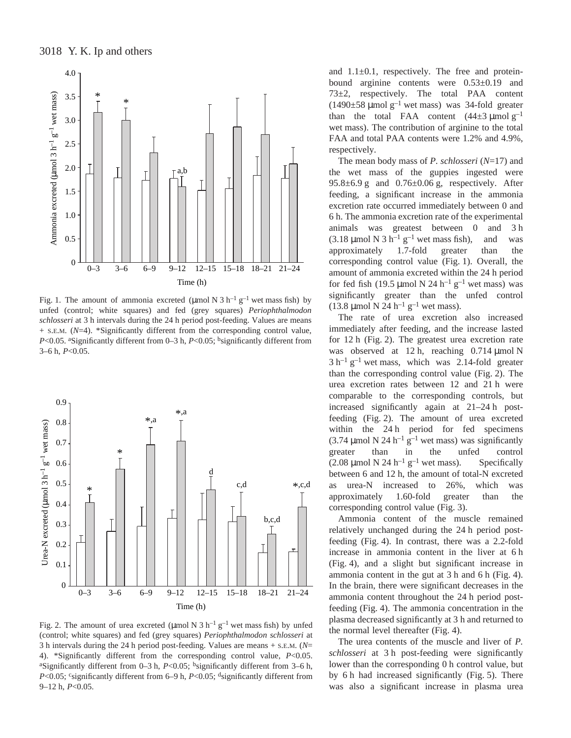

Fig. 1. The amount of ammonia excreted (µmol N  $3 h^{-1} g^{-1}$  wet mass fish) by unfed (control; white squares) and fed (grey squares) *Periophthalmodon schlosseri* at 3 h intervals during the 24 h period post-feeding. Values are means + S.E.M. (*N*=4). \*Significantly different from the corresponding control value, *P*<0.05. aSignificantly different from 0–3 h, *P*<0.05; <sup>b</sup>significantly different from 3–6 h, *P*<0.05.



Fig. 2. The amount of urea excreted (µmol N 3 h<sup>-1</sup> g<sup>-1</sup> wet mass fish) by unfed (control; white squares) and fed (grey squares) *Periophthalmodon schlosseri* at 3 h intervals during the 24 h period post-feeding. Values are means  $+$  s.E.M. ( $N=$ 4). \*Significantly different from the corresponding control value, *P*<0.05. <sup>a</sup>Significantly different from  $0-3$  h,  $P<0.05$ ; <sup>b</sup>significantly different from  $3-6$  h, *P*<0.05; csignificantly different from 6–9 h, *P*<0.05; dsignificantly different from 9–12 h,  $P<0.05$ .

and  $1.1\pm0.1$ , respectively. The free and proteinbound arginine contents were 0.53±0.19 and 73±2, respectively. The total PAA content  $(1490\pm58 \,\mathrm{\mu mol~g^{-1}}$  wet mass) was 34-fold greater than the total FAA content  $(44\pm3 \text{ \mu mol g}^{-1})$ wet mass). The contribution of arginine to the total FAA and total PAA contents were 1.2% and 4.9%, respectively.

The mean body mass of *P. schlosseri* (*N*=17) and the wet mass of the guppies ingested were  $95.8\pm6.9$  g and  $0.76\pm0.06$  g, respectively. After feeding, a significant increase in the ammonia excretion rate occurred immediately between 0 and 6·h. The ammonia excretion rate of the experimental animals was greatest between 0 and 3h  $(3.18 \mu \text{mol N } 3 \text{ h}^{-1} \text{ g}^{-1}$  wet mass fish), and was approximately 1.7-fold greater than the corresponding control value (Fig. 1). Overall, the amount of ammonia excreted within the 24 h period for fed fish (19.5 µmol N 24 h<sup>-1</sup> g<sup>-1</sup> wet mass) was significantly greater than the unfed control (13.8 µmol N 24 h<sup>-1</sup> g<sup>-1</sup> wet mass).

The rate of urea excretion also increased immediately after feeding, and the increase lasted for 12 h (Fig. 2). The greatest urea excretion rate was observed at 12 h, reaching  $0.714 \mu$ mol N  $3 h^{-1} g^{-1}$  wet mass, which was 2.14-fold greater than the corresponding control value (Fig.  $2$ ). The urea excretion rates between 12 and 21 h were comparable to the corresponding controls, but increased significantly again at  $21-24$  h postfeeding (Fig. 2). The amount of urea excreted within the 24<sup>h</sup> period for fed specimens (3.74 µmol N 24 h<sup>-1</sup> g<sup>-1</sup> wet mass) was significantly greater than in the unfed control (2.08  $\mu$ mol N 24 h<sup>-1</sup> g<sup>-1</sup> wet mass). Specifically between 6 and 12 h, the amount of total-N excreted as urea-N increased to 26%, which was approximately 1.60-fold greater than the corresponding control value (Fig. 3).

Ammonia content of the muscle remained relatively unchanged during the 24 h period postfeeding (Fig. 4). In contrast, there was a 2.2-fold increase in ammonia content in the liver at 6 h (Fig. 4), and a slight but significant increase in ammonia content in the gut at  $3h$  and  $6h$  (Fig. 4). In the brain, there were significant decreases in the ammonia content throughout the 24 h period postfeeding (Fig. 4). The ammonia concentration in the plasma decreased significantly at 3 h and returned to the normal level thereafter (Fig. 4).

The urea contents of the muscle and liver of *P. schlosseri* at 3 h post-feeding were significantly lower than the corresponding 0 h control value, but by 6 h had increased significantly (Fig. 5). There was also a significant increase in plasma urea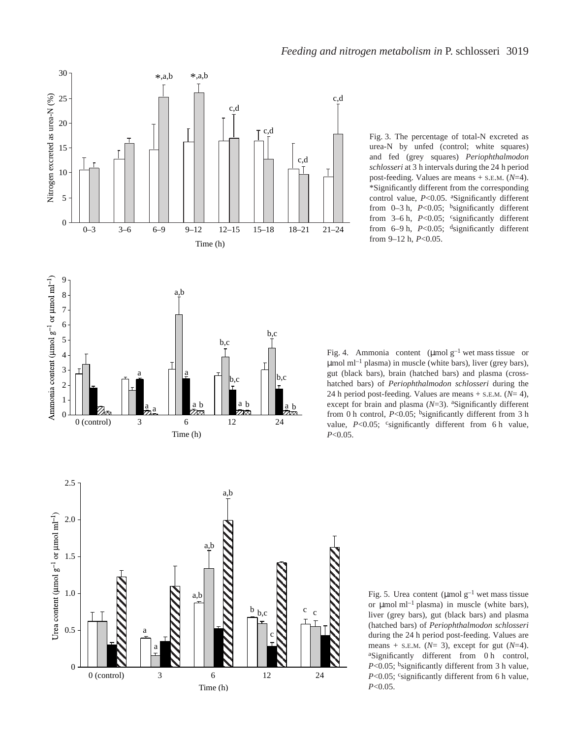

Fig. 3. The percentage of total-N excreted as urea-N by unfed (control; white squares) and fed (grey squares) *Periophthalmodon* schlosseri at 3 h intervals during the 24 h period post-feeding. Values are means + S.E.M. (*N*=4). \*Significantly different from the corresponding control value, *P*<0.05. <sup>a</sup>Significantly different from  $0-3$  h,  $P<0.05$ ; <sup>b</sup>significantly different from  $3-6$  h,  $P<0.05$ ; csignificantly different from  $6-9$  h,  $P<0.05$ ; <sup>d</sup>significantly different

Fig. 4. Ammonia content ( $\mu$ molg<sup>-1</sup> wet mass tissue or  $\mu$ mol ml<sup>-1</sup> plasma) in muscle (white bars), liver (grey bars), gut (black bars), brain (hatched bars) and plasma (crosshatched bars) of *Periophthalmodon schlosseri* during the 24 h period post-feeding. Values are means  $+$  s.e.m. ( $N=$  4), except for brain and plasma ( $N=3$ ). <sup>a</sup>Significantly different from 0 h control,  $P < 0.05$ ; <sup>b</sup>significantly different from 3 h value, *P*<0.05; csignificantly different from 6 h value, *P*<0.05.



Fig. 5. Urea content ( $\mu$ mol g<sup>-1</sup> wet mass tissue or  $\mu$ mol ml<sup>-1</sup> plasma) in muscle (white bars), liver (grey bars), gut (black bars) and plasma (hatched bars) of *Periophthalmodon schlosseri* during the 24 h period post-feeding. Values are means + S.E.M. (*N*= 3), except for gut (*N*=4). <sup>a</sup>Significantly different from 0h control,  $P<0.05$ ; bsignificantly different from 3 h value, *P*<0.05; csignificantly different from 6 h value, *P*<0.05.

from 9-12 h,  $P<0.05$ .

c,d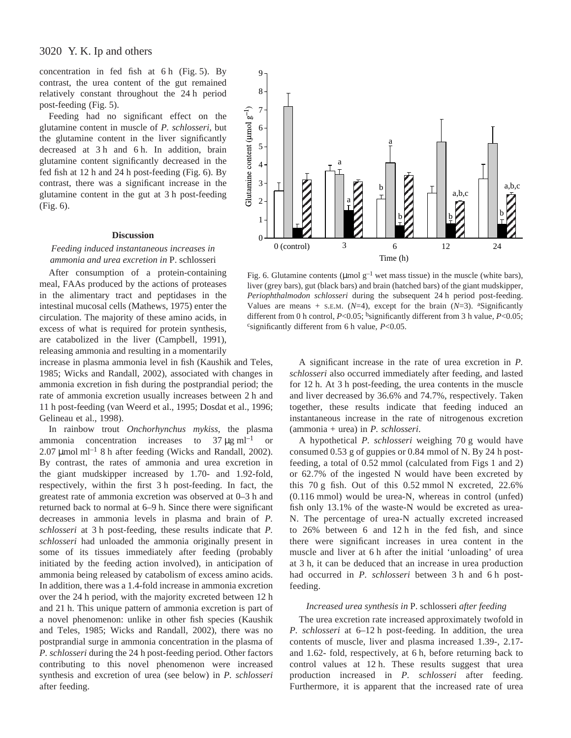concentration in fed fish at  $6h$  (Fig. 5). By contrast, the urea content of the gut remained relatively constant throughout the 24<sup>h</sup> period post-feeding (Fig. 5).

Feeding had no significant effect on the glutamine content in muscle of *P. schlosseri*, but the glutamine content in the liver significantly decreased at 3h and 6h. In addition, brain glutamine content significantly decreased in the fed fish at  $12h$  and  $24h$  post-feeding (Fig. 6). By contrast, there was a significant increase in the glutamine content in the gut at 3 h post-feeding  $(Fig. 6)$ .

### **Discussion**

*Feeding induced instantaneous increases in ammonia and urea excretion in* P. schlosseri

After consumption of a protein-containing meal, FAAs produced by the actions of proteases in the alimentary tract and peptidases in the intestinal mucosal cells (Mathews, 1975) enter the circulation. The majority of these amino acids, in excess of what is required for protein synthesis, are catabolized in the liver (Campbell, 1991), releasing ammonia and resulting in a momentarily

increase in plasma ammonia level in fish (Kaushik and Teles, 1985; Wicks and Randall, 2002), associated with changes in ammonia excretion in fish during the postprandial period; the rate of ammonia excretion usually increases between 2 h and 11 h post-feeding (van Weerd et al., 1995; Dosdat et al., 1996; Gelineau et al., 1998).

In rainbow trout *Onchorhynchus mykiss*, the plasma ammonia concentration increases to  $37 \mu g \text{ ml}^{-1}$  or 2.07  $\mu$ mol ml<sup>-1</sup> 8 h after feeding (Wicks and Randall, 2002). By contrast, the rates of ammonia and urea excretion in the giant mudskipper increased by 1.70- and 1.92-fold, respectively, within the first 3 h post-feeding. In fact, the greatest rate of ammonia excretion was observed at 0–3 h and returned back to normal at 6–9 h. Since there were significant decreases in ammonia levels in plasma and brain of *P. schlosseri* at 3 h post-feeding, these results indicate that *P*. *schlosseri* had unloaded the ammonia originally present in some of its tissues immediately after feeding (probably initiated by the feeding action involved), in anticipation of ammonia being released by catabolism of excess amino acids. In addition, there was a 1.4-fold increase in ammonia excretion over the 24 h period, with the majority excreted between 12 h and 21 h. This unique pattern of ammonia excretion is part of a novel phenomenon: unlike in other fish species (Kaushik and Teles, 1985; Wicks and Randall, 2002), there was no postprandial surge in ammonia concentration in the plasma of *P. schlosseri* during the 24 h post-feeding period. Other factors contributing to this novel phenomenon were increased synthesis and excretion of urea (see below) in *P. schlosseri* after feeding.



Fig. 6. Glutamine contents ( $\mu$ mol g<sup>-1</sup> wet mass tissue) in the muscle (white bars), liver (grey bars), gut (black bars) and brain (hatched bars) of the giant mudskipper, *Periophthalmodon schlosseri* during the subsequent 24<sup>h</sup> period post-feeding. Values are means + S.E.M.  $(N=4)$ , except for the brain  $(N=3)$ . <sup>a</sup>Significantly different from 0 h control, *P*<0.05; <sup>b</sup>significantly different from 3 h value, *P*<0.05;  $c$ significantly different from 6 h value,  $P<0.05$ .

A significant increase in the rate of urea excretion in *P. schlosseri* also occurred immediately after feeding, and lasted for 12 h. At 3 h post-feeding, the urea contents in the muscle and liver decreased by 36.6% and 74.7%, respectively. Taken together, these results indicate that feeding induced an instantaneous increase in the rate of nitrogenous excretion (ammonia + urea) in *P. schlosseri*.

A hypothetical *P. schlosseri* weighing 70 g would have consumed  $0.53$  g of guppies or  $0.84$  mmol of N. By 24 h postfeeding, a total of 0.52 mmol (calculated from Figs 1 and 2) or 62.7% of the ingested N would have been excreted by this  $70 g$  fish. Out of this 0.52 mmol N excreted, 22.6%  $(0.116 \text{ mmol})$  would be urea-N, whereas in control (unfed) fish only 13.1% of the waste-N would be excreted as urea-N. The percentage of urea-N actually excreted increased to  $26\%$  between 6 and  $12 h$  in the fed fish, and since there were significant increases in urea content in the muscle and liver at 6 h after the initial 'unloading' of urea at 3 h, it can be deduced that an increase in urea production had occurred in *P. schlosseri* between 3 h and 6 h postfeeding.

### *Increased urea synthesis in* P. schlosseri *after feeding*

The urea excretion rate increased approximately twofold in *P. schlosseri* at 6–12 h post-feeding. In addition, the urea contents of muscle, liver and plasma increased 1.39-, 2.17 and 1.62- fold, respectively, at 6 h, before returning back to control values at 12 h. These results suggest that urea production increased in *P. schlosseri* after feeding. Furthermore, it is apparent that the increased rate of urea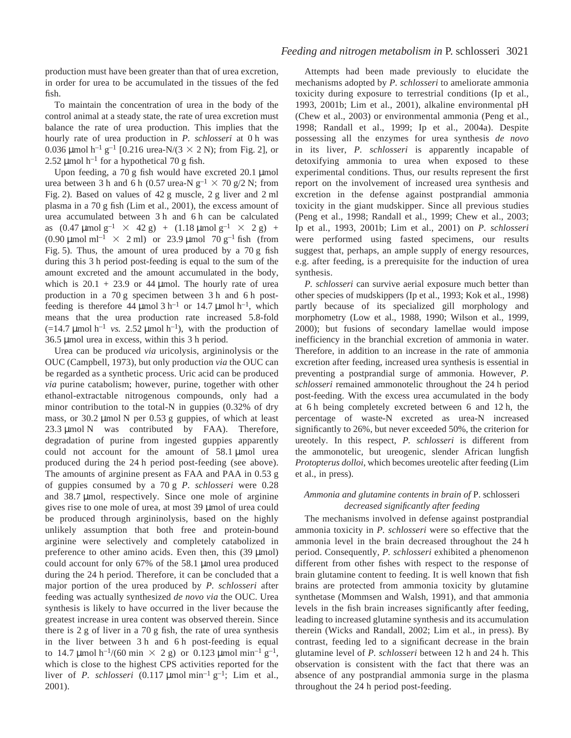### *Feeding and nitrogen metabolism in* P. schlosseri 3021

production must have been greater than that of urea excretion, in order for urea to be accumulated in the tissues of the fed fish.

To maintain the concentration of urea in the body of the control animal at a steady state, the rate of urea excretion must balance the rate of urea production. This implies that the hourly rate of urea production in *P. schlosseri* at 0 h was 0.036 µmol h<sup>-1</sup> g<sup>-1</sup> [0.216 urea-N/(3  $\times$  2 N); from Fig. 2], or 2.52  $\mu$ mol h<sup>-1</sup> for a hypothetical 70 g fish.

Upon feeding, a 70 g fish would have excreted 20.1 µmol urea between 3 h and 6 h (0.57 urea-N  $g^{-1} \times 70$  g/2 N; from Fig. 2). Based on values of 42 g muscle, 2 g liver and 2 ml plasma in a  $70 g$  fish (Lim et al., 2001), the excess amount of urea accumulated between 3 h and 6 h can be calculated as  $(0.47 \text{ \mu mol g}^{-1} \times 42 \text{ g}) + (1.18 \text{ \mu mol g}^{-1} \times 2 \text{ g}) +$ (0.90  $\mu$ mol ml<sup>-1</sup>  $\times$  2 ml) or 23.9  $\mu$ mol 70 g<sup>-1</sup> fish (from Fig. 5). Thus, the amount of urea produced by a  $70~g$  fish during this 3 h period post-feeding is equal to the sum of the amount excreted and the amount accumulated in the body, which is  $20.1 + 23.9$  or 44 µmol. The hourly rate of urea production in a  $70 g$  specimen between  $3 h$  and  $6 h$  postfeeding is therefore 44  $\mu$ mol 3 h<sup>-1</sup> or 14.7  $\mu$ mol h<sup>-1</sup>, which means that the urea production rate increased 5.8-fold  $(=14.7 \text{ }\mu\text{mol} \text{ h}^{-1} \text{ vs. } 2.52 \text{ }\mu\text{mol} \text{ h}^{-1})$ , with the production of  $36.5 \mu$ mol urea in excess, within this 3 h period.

Urea can be produced *via* uricolysis, argininolysis or the OUC (Campbell, 1973), but only production *via* the OUC can be regarded as a synthetic process. Uric acid can be produced *via* purine catabolism; however, purine, together with other ethanol-extractable nitrogenous compounds, only had a minor contribution to the total-N in guppies (0.32% of dry mass, or 30.2  $\mu$ mol N per 0.53 g guppies, of which at least  $23.3 \mu$ mol N was contributed by FAA). Therefore, degradation of purine from ingested guppies apparently could not account for the amount of  $58.1 \text{ µmol}$  urea produced during the 24<sup>h</sup> period post-feeding (see above). The amounts of arginine present as FAA and PAA in 0.53 g of guppies consumed by a 70 g *P. schlosseri* were 0.28 and 38.7 µmol, respectively. Since one mole of arginine gives rise to one mole of urea, at most 39 µmol of urea could be produced through argininolysis, based on the highly unlikely assumption that both free and protein-bound arginine were selectively and completely catabolized in preference to other amino acids. Even then, this  $(39 \text{ µmol})$ could account for only  $67\%$  of the 58.1 µmol urea produced during the 24 h period. Therefore, it can be concluded that a major portion of the urea produced by *P. schlosseri* after feeding was actually synthesized *de novo via* the OUC. Urea synthesis is likely to have occurred in the liver because the greatest increase in urea content was observed therein. Since there is  $2 g$  of liver in a 70  $g$  fish, the rate of urea synthesis in the liver between  $3 h$  and  $6 h$  post-feeding is equal to 14.7 µmol h<sup>-1</sup>/(60 min  $\times$  2 g) or 0.123 µmol min<sup>-1</sup> g<sup>-1</sup>, which is close to the highest CPS activities reported for the liver of *P. schlosseri*  $(0.117 \text{µmol min}^{-1} \text{g}^{-1}$ ; Lim et al., 2001).

Attempts had been made previously to elucidate the mechanisms adopted by *P. schlosseri* to ameliorate ammonia toxicity during exposure to terrestrial conditions (Ip et al., 1993, 2001b; Lim et al., 2001), alkaline environmental pH (Chew et al., 2003) or environmental ammonia (Peng et al., 1998; Randall et al., 1999; Ip et al., 2004a). Despite possessing all the enzymes for urea synthesis *de novo* in its liver, *P. schlosseri* is apparently incapable of detoxifying ammonia to urea when exposed to these experimental conditions. Thus, our results represent the first report on the involvement of increased urea synthesis and excretion in the defense against postprandial ammonia toxicity in the giant mudskipper. Since all previous studies (Peng et al., 1998; Randall et al., 1999; Chew et al., 2003; Ip et al., 1993, 2001b; Lim et al., 2001) on *P. schlosseri* were performed using fasted specimens, our results suggest that, perhaps, an ample supply of energy resources, e.g. after feeding, is a prerequisite for the induction of urea synthesis.

*P. schlosseri* can survive aerial exposure much better than other species of mudskippers (Ip et al., 1993; Kok et al., 1998) partly because of its specialized gill morphology and morphometry (Low et al., 1988, 1990; Wilson et al., 1999, 2000); but fusions of secondary lamellae would impose inefficiency in the branchial excretion of ammonia in water. Therefore, in addition to an increase in the rate of ammonia excretion after feeding, increased urea synthesis is essential in preventing a postprandial surge of ammonia. However, *P. schlosseri* remained ammonotelic throughout the 24<sup>h</sup> period post-feeding. With the excess urea accumulated in the body at 6 h being completely excreted between 6 and  $12 h$ , the percentage of waste-N excreted as urea-N increased significantly to 26%, but never exceeded 50%, the criterion for ureotely. In this respect, *P. schlosseri* is different from the ammonotelic, but ureogenic, slender African lungfish *Protopterus dolloi*, which becomes ureotelic after feeding (Lim et al., in press).

### *Ammonia and glutamine contents in brain of* P. schlosseri *decreased significantly after feeding*

The mechanisms involved in defense against postprandial ammonia toxicity in *P. schlosseri* were so effective that the ammonia level in the brain decreased throughout the 24 h period. Consequently, *P. schlosseri* exhibited a phenomenon different from other fishes with respect to the response of brain glutamine content to feeding. It is well known that fish brains are protected from ammonia toxicity by glutamine synthetase (Mommsen and Walsh, 1991), and that ammonia levels in the fish brain increases significantly after feeding, leading to increased glutamine synthesis and its accumulation therein (Wicks and Randall, 2002; Lim et al., in press). By contrast, feeding led to a significant decrease in the brain glutamine level of *P. schlosseri* between 12 h and 24 h. This observation is consistent with the fact that there was an absence of any postprandial ammonia surge in the plasma throughout the 24 h period post-feeding.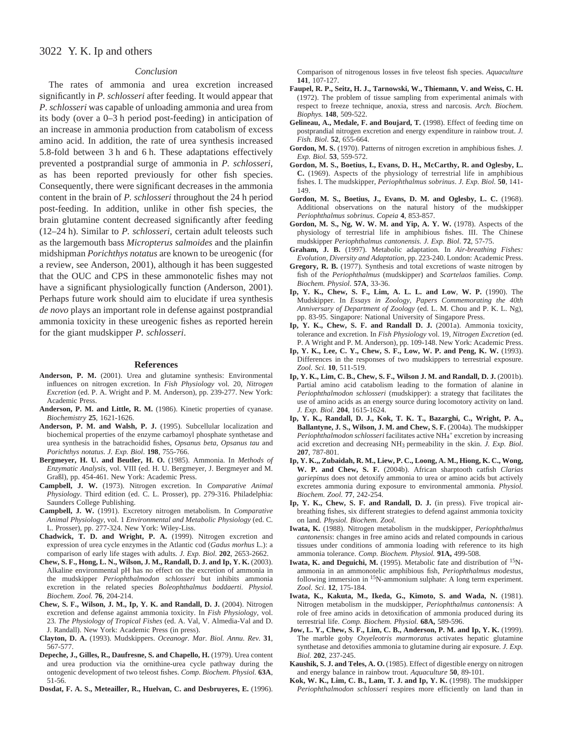# 3022 Y. K. Ip and others

### *Conclusion*

The rates of ammonia and urea excretion increased significantly in *P. schlosseri* after feeding. It would appear that *P. schlosseri* was capable of unloading ammonia and urea from its body (over a 0–3 h period post-feeding) in anticipation of an increase in ammonia production from catabolism of excess amino acid. In addition, the rate of urea synthesis increased 5.8-fold between 3 h and 6 h. These adaptations effectively prevented a postprandial surge of ammonia in *P. schlosseri*, as has been reported previously for other fish species. Consequently, there were significant decreases in the ammonia content in the brain of *P. schlosseri* throughout the 24 h period post-feeding. In addition, unlike in other fish species, the brain glutamine content decreased significantly after feeding (12–24 h). Similar to *P. schlosseri*, certain adult teleosts such as the largemouth bass *Micropterus salmoides* and the plainfin midshipman *Porichthys notatus* are known to be ureogenic (for a review, see Anderson, 2001), although it has been suggested that the OUC and CPS in these ammonotelic fishes may not have a significant physiologically function (Anderson, 2001). Perhaps future work should aim to elucidate if urea synthesis *de novo* plays an important role in defense against postprandial ammonia toxicity in these ureogenic fishes as reported herein for the giant mudskipper *P. schlosseri*.

#### **References**

- **Anderson, P. M.** (2001). Urea and glutamine synthesis: Environmental influences on nitrogen excretion. In *Fish Physiology* vol. 20*, Nitrogen Excretion* (ed. P. A. Wright and P. M. Anderson), pp. 239-277. New York: Academic Press.
- **Anderson, P. M. and Little, R. M.** (1986). Kinetic properties of cyanase. *Biochemistry* **25**, 1621-1626.
- **Anderson, P. M. and Walsh, P. J.** (1995). Subcellular localization and biochemical properties of the enzyme carbamoyl phosphate synthetase and urea synthesis in the batrachoidid fishes, *Opsanus beta, Opsanus tau* and *Porichthys notatus*. *J. Exp. Biol*. **198**, 755-766.
- **Bergmeyer, H. U. and Beutler, H. O.** (1985). Ammonia. In *Methods of Enzymatic Analysis,* vol. VIII (ed. H. U. Bergmeyer, J. Bergmeyer and M. Graßl), pp. 454-461. New York: Academic Press.
- **Campbell, J. W.** (1973). Nitrogen excretion. In *Comparative Animal Physiology*. Third edition (ed. C. L. Prosser), pp. 279-316. Philadelphia: Saunders College Publishing.
- **Campbell, J. W.** (1991). Excretory nitrogen metabolism. In *Comparative Animal Physiology*, vol. 1 *Environmental and Metabolic Physiology* (ed. C. L. Prosser), pp. 277-324. New York: Wiley-Liss.
- **Chadwick, T. D. and Wright, P. A.** (1999). Nitrogen excretion and expression of urea cycle enzymes in the Atlantic cod (*Gadus morhus* L.): a comparison of early life stages with adults*. J. Exp. Biol.* **202**, 2653-2662.
- **Chew, S. F., Hong, L. N., Wilson, J. M., Randall, D. J. and Ip, Y. K.** (2003). Alkaline environmental pH has no effect on the excretion of ammonia in the mudskipper *Periophthalmodon schlosseri* but inhibits ammonia excretion in the related species *Boleophthalmus boddaerti. Physiol. Biochem. Zool.* **76**, 204-214.
- **Chew, S. F., Wilson, J. M., Ip, Y. K. and Randall, D. J.** (2004). Nitrogen excretion and defense against ammonia toxicity. In *Fish Physiology*, vol. 23*. The Physiology of Tropical Fishes* (ed. A. Val, V. Almedia-Val and D. J. Randall). New York: Academic Press (in press).
- **Clayton, D. A.** (1993). Mudskippers. *Oceanogr. Mar. Biol. Annu. Rev.* **31**, 567-577.
- **Depeche, J., Gilles, R., Daufresne, S. and Chapello, H.** (1979). Urea content and urea production via the ornithine-urea cycle pathway during the ontogenic development of two teleost fishes. *Comp. Biochem. Physiol.* **63A**, 51-56.

**Dosdat, F. A. S., Meteailler, R., Huelvan, C. and Desbruyeres, E.** (1996).

Comparison of nitrogenous losses in five teleost fish species. *Aquaculture* **141**, 107-127.

- **Faupel, R. P., Seitz, H. J., Tarnowski, W., Thiemann, V. and Weiss, C. H.** (1972). The problem of tissue sampling from experimental animals with respect to freeze technique, anoxia, stress and narcosis. *Arch. Biochem. Biophys.* **148**, 509-522.
- **Gelineau, A., Medale, F. and Boujard, T.** (1998). Effect of feeding time on postprandial nitrogen excretion and energy expenditure in rainbow trout. *J. Fish. Biol*. **52**, 655-664.
- **Gordon, M. S.** (1970). Patterns of nitrogen excretion in amphibious fishes. *J. Exp. Biol.* **53**, 559-572.
- **Gordon, M. S., Boetius, I., Evans, D. H., McCarthy, R. and Oglesby, L. C.** (1969). Aspects of the physiology of terrestrial life in amphibious fishes. I. The mudskipper, *Periophthalmus sobrinus*. *J. Exp. Biol.* **50**, 141- 149.
- **Gordon, M. S., Boetius, J., Evans, D. M. and Oglesby, L. C.** (1968). Additional observations on the natural history of the mudskipper *Periophthalmus sobrinus*. *Copeia* **4**, 853-857.
- **Gordon, M. S., Ng, W. W. M. and Yip, A. Y. W.** (1978). Aspects of the physiology of terrestrial life in amphibious fishes. III. The Chinese mudskipper *Periophthalmus cantonensis. J. Exp. Biol*. **72**, 57-75.
- **Graham, J. B.** (1997). Metabolic adaptation. In *Air-breathing Fishes: Evolution, Diversity and Adaptation*, pp. 223-240. London: Academic Press.
- **Gregory, R. B.** (1977). Synthesis and total excretions of waste nitrogen by fish of the *Periophthalmus* (mudskipper) and *Scartelaos* families. *Comp. Biochem. Physiol*. **57A**, 33-36.
- **Ip, Y. K., Chew, S. F., Lim, A. L. L. and Low**, **W. P.** (1990). The Mudskipper. In *Essays in Zoology, Papers Commemorating the 40th Anniversary of Department of Zoology* (ed. L. M. Chou and P. K. L. Ng), pp. 83-95. Singapore: National University of Singapore Press.
- **Ip, Y. K., Chew, S. F. and Randall D. J.** (2001a). Ammonia toxicity, tolerance and excretion. In *Fish Physiology* vol. 19, *Nitrogen Excretion* (ed. P. A Wright and P. M. Anderson), pp. 109-148. New York: Academic Press.
- **Ip, Y. K., Lee, C. Y., Chew, S. F., Low, W. P. and Peng, K. W.** (1993). Differences in the responses of two mudskippers to terrestrial exposure. *Zool. Sci.* **10**, 511-519.
- **Ip, Y. K., Lim, C. B., Chew, S. F., Wilson J. M. and Randall, D. J.** (2001b). Partial amino acid catabolism leading to the formation of alanine in *Periophthalmodon schlosseri* (mudskipper): a strategy that facilitates the use of amino acids as an energy source during locomotory activity on land. *J. Exp. Biol.* **204**, 1615-1624.
- **Ip, Y. K., Randall, D. J., Kok, T. K. T., Bazarghi, C., Wright, P. A., Ballantyne, J. S., Wilson, J. M. and Chew, S. F.** (2004a). The mudskipper Periophthalmodon schlosseri facilitates active NH<sub>4</sub>+ excretion by increasing acid excretion and decreasing NH3 permeability in the skin. *J. Exp. Biol*. **207**, 787-801.
- **Ip, Y. K.,, Zubaidah, R. M., Liew, P. C., Loong, A. M., Hiong, K. C., Wong, W. P. and Chew, S. F.** (2004b). African sharptooth catfish *Clarias gariepinus* does not detoxify ammonia to urea or amino acids but actively excretes ammonia during exposure to environmental ammonia. *Physiol. Biochem. Zool.* **77**, 242-254.
- **Ip, Y. K., Chew, S. F. and Randall, D. J.** (in press). Five tropical airbreathing fishes, six different strategies to defend against ammonia toxicity on land. *Physiol. Biochem. Zool.*
- **Iwata, K.** (1988). Nitrogen metabolism in the mudskipper, *Periophthalmus cantonensis*: changes in free amino acids and related compounds in carious tissues under conditions of ammonia loading with reference to its high ammonia tolerance. *Comp. Biochem. Physiol.* **91A,** 499-508.
- **Iwata, K. and Deguichi, M.** (1995). Metabolic fate and distribution of 15Nammonia in an ammonotelic amphibious fish, *Periophthalmus modestus*, following immersion in <sup>15</sup>N-ammonium sulphate: A long term experiment. *Zool. Sci*. **12**, 175-184.
- **Iwata, K., Kakuta, M., Ikeda, G., Kimoto, S. and Wada, N.** (1981). Nitrogen metabolism in the mudskipper, *Periophthalmus cantonensis*: A role of free amino acids in detoxification of ammonia produced during its terrestrial life. *Comp. Biochem. Physiol.* **68A,** 589-596.
- **Jow, L. Y., Chew, S. F., Lim, C. B., Anderson, P. M. and Ip, Y. K.** (1999). The marble goby *Oxyeleotris marmoratus* activates hepatic glutamine synthetase and detoxifies ammonia to glutamine during air exposure*. J. Exp. Biol.* **202**, 237-245.
- **Kaushik, S. J. and Teles, A. O.** (1985). Effect of digestible energy on nitrogen and energy balance in rainbow trout. *Aquaculture* **50**, 89-101.
- **Kok, W. K., Lim, C. B., Lam, T. J. and Ip, Y. K.** (1998). The mudskipper *Periophthalmodon schlosseri* respires more efficiently on land than in